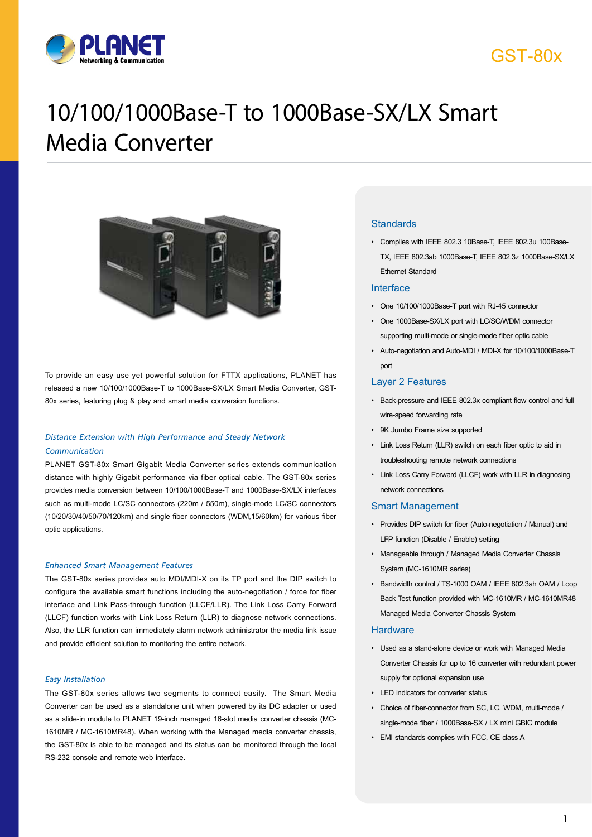

# GST-80x

# 10/100/1000Base-T to 1000Base-SX/LX Smart Media Converter



To provide an easy use yet powerful solution for FTTX applications, PLANET has released a new 10/100/1000Base-T to 1000Base-SX/LX Smart Media Converter, GST-80x series, featuring plug & play and smart media conversion functions.

### *Distance Extension with High Performance and Steady Network Communication*

PLANET GST-80x Smart Gigabit Media Converter series extends communication distance with highly Gigabit performance via fiber optical cable. The GST-80x series provides media conversion between 10/100/1000Base-T and 1000Base-SX/LX interfaces such as multi-mode LC/SC connectors (220m / 550m), single-mode LC/SC connectors (10/20/30/40/50/70/120km) and single fiber connectors (WDM,15/60km) for various fiber optic applications.

#### *Enhanced Smart Management Features*

The GST-80x series provides auto MDI/MDI-X on its TP port and the DIP switch to configure the available smart functions including the auto-negotiation / force for fiber interface and Link Pass-through function (LLCF/LLR). The Link Loss Carry Forward (LLCF) function works with Link Loss Return (LLR) to diagnose network connections. Also, the LLR function can immediately alarm network administrator the media link issue and provide efficient solution to monitoring the entire network.

#### *Easy Installation*

The GST-80x series allows two segments to connect easily. The Smart Media Converter can be used as a standalone unit when powered by its DC adapter or used as a slide-in module to PLANET 19-inch managed 16-slot media converter chassis (MC-1610MR / MC-1610MR48). When working with the Managed media converter chassis, the GST-80x is able to be managed and its status can be monitored through the local RS-232 console and remote web interface.

#### **Standards**

• Complies with IEEE 802.3 10Base-T, IEEE 802.3u 100Base-TX, IEEE 802.3ab 1000Base-T, IEEE 802.3z 1000Base-SX/LX Ethernet Standard

#### Interface

- One 10/100/1000Base-T port with RJ-45 connector
- One 1000Base-SX/LX port with LC/SC/WDM connector supporting multi-mode or single-mode fiber optic cable
- Auto-negotiation and Auto-MDI / MDI-X for 10/100/1000Base-T port

### Layer 2 Features

- Back-pressure and IEEE 802.3x compliant flow control and full wire-speed forwarding rate
- 9K Jumbo Frame size supported
- Link Loss Return (LLR) switch on each fiber optic to aid in troubleshooting remote network connections
- Link Loss Carry Forward (LLCF) work with LLR in diagnosing network connections

#### Smart Management

- Provides DIP switch for fiber (Auto-negotiation / Manual) and LFP function (Disable / Enable) setting
- Manageable through / Managed Media Converter Chassis System (MC-1610MR series)
- Bandwidth control / TS-1000 OAM / IEEE 802.3ah OAM / Loop Back Test function provided with MC-1610MR / MC-1610MR48 Managed Media Converter Chassis System

#### **Hardware**

- Used as a stand-alone device or work with Managed Media Converter Chassis for up to 16 converter with redundant power supply for optional expansion use
- LED indicators for converter status
- Choice of fiber-connector from SC, LC, WDM, multi-mode / single-mode fiber / 1000Base-SX / LX mini GBIC module
- EMI standards complies with FCC, CE class A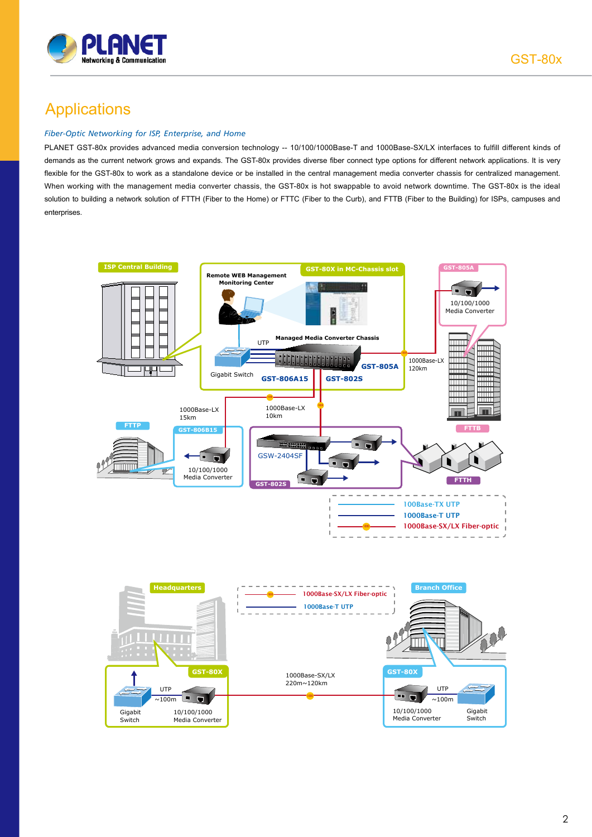

### Applications

#### *Fiber-Optic Networking for ISP, Enterprise, and Home*

PLANET GST-80x provides advanced media conversion technology -- 10/100/1000Base-T and 1000Base-SX/LX interfaces to fulfill different kinds of demands as the current network grows and expands. The GST-80x provides diverse fiber connect type options for different network applications. It is very flexible for the GST-80x to work as a standalone device or be installed in the central management media converter chassis for centralized management. When working with the management media converter chassis, the GST-80x is hot swappable to avoid network downtime. The GST-80x is the ideal solution to building a network solution of FTTH (Fiber to the Home) or FTTC (Fiber to the Curb), and FTTB (Fiber to the Building) for ISPs, campuses and enterprises.

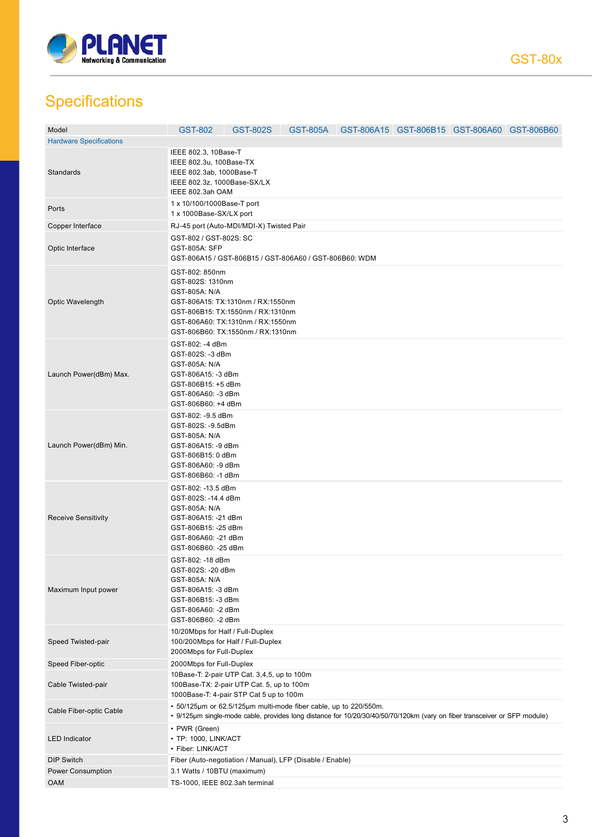

# **Specifications**

| Model                          | GST-802                                                                                                                                                | GST-802S                                                                                                                                                                                      |  | GST-805A GST-806A15 GST-806B15 GST-806A60 GST-806B60 |  |  |  |
|--------------------------------|--------------------------------------------------------------------------------------------------------------------------------------------------------|-----------------------------------------------------------------------------------------------------------------------------------------------------------------------------------------------|--|------------------------------------------------------|--|--|--|
| <b>Hardware Specifications</b> |                                                                                                                                                        |                                                                                                                                                                                               |  |                                                      |  |  |  |
| Standards                      | IEEE 802.3, 10Base-T<br>IEEE 802.3u, 100Base-TX<br>IEEE 802.3ab, 1000Base-T<br>IEEE 802.3z, 1000Base-SX/LX<br>IEEE 802.3ah OAM                         |                                                                                                                                                                                               |  |                                                      |  |  |  |
| Ports                          |                                                                                                                                                        | 1 x 10/100/1000Base-T port<br>1 x 1000Base-SX/LX port                                                                                                                                         |  |                                                      |  |  |  |
| Copper Interface               |                                                                                                                                                        | RJ-45 port (Auto-MDI/MDI-X) Twisted Pair                                                                                                                                                      |  |                                                      |  |  |  |
| Optic Interface                | GST-802 / GST-802S: SC<br>GST-805A: SFP                                                                                                                | GST-806A15 / GST-806B15 / GST-806A60 / GST-806B60: WDM                                                                                                                                        |  |                                                      |  |  |  |
| Optic Wavelength               | GST-802: 850nm<br>GST-802S: 1310nm<br>GST-805A: N/A                                                                                                    | GST-806A15: TX:1310nm / RX:1550nm<br>GST-806B15: TX:1550nm / RX:1310nm<br>GST-806A60: TX:1310nm / RX:1550nm<br>GST-806B60: TX:1550nm / RX:1310nm                                              |  |                                                      |  |  |  |
| Launch Power(dBm) Max.         | GST-802: -4 dBm<br>GST-802S: -3 dBm<br>GST-805A: N/A<br>GST-806A15: -3 dBm<br>GST-806B15: +5 dBm<br>GST-806A60: -3 dBm<br>GST-806B60: +4 dBm           |                                                                                                                                                                                               |  |                                                      |  |  |  |
| Launch Power(dBm) Min.         | GST-802: -9.5 dBm<br>GST-802S: -9.5dBm<br>GST-805A: N/A<br>GST-806A15: -9 dBm<br>GST-806B15: 0 dBm<br>GST-806A60: -9 dBm<br>GST-806B60: -1 dBm         |                                                                                                                                                                                               |  |                                                      |  |  |  |
| <b>Receive Sensitivity</b>     | GST-802: -13.5 dBm<br>GST-802S: -14.4 dBm<br>GST-805A: N/A<br>GST-806A15: -21 dBm<br>GST-806B15: -25 dBm<br>GST-806A60: -21 dBm<br>GST-806B60: -25 dBm |                                                                                                                                                                                               |  |                                                      |  |  |  |
| Maximum Input power            | GST-802: -18 dBm<br>GST-802S: -20 dBm<br>GST-805A: N/A<br>GST-806A15: -3 dBm<br>GST-806B15: -3 dBm<br>GST-806A60: -2 dBm<br>GST-806B60: -2 dBm         |                                                                                                                                                                                               |  |                                                      |  |  |  |
| Speed Twisted-pair             | 10/20Mbps for Half / Full-Duplex<br>2000Mbps for Full-Duplex                                                                                           | 100/200Mbps for Half / Full-Duplex                                                                                                                                                            |  |                                                      |  |  |  |
| Speed Fiber-optic              | 2000Mbps for Full-Duplex                                                                                                                               |                                                                                                                                                                                               |  |                                                      |  |  |  |
| Cable Twisted-pair             |                                                                                                                                                        | 10Base-T: 2-pair UTP Cat. 3,4,5, up to 100m<br>100Base-TX: 2-pair UTP Cat. 5, up to 100m<br>1000Base-T: 4-pair STP Cat 5 up to 100m                                                           |  |                                                      |  |  |  |
| Cable Fiber-optic Cable        |                                                                                                                                                        | · 50/125µm or 62.5/125µm multi-mode fiber cable, up to 220/550m.<br>• 9/125µm single-mode cable, provides long distance for 10/20/30/40/50/70/120km (vary on fiber transceiver or SFP module) |  |                                                      |  |  |  |
| <b>LED</b> Indicator           | • PWR (Green)<br>• TP: 1000, LINK/ACT<br>• Fiber: LINK/ACT                                                                                             |                                                                                                                                                                                               |  |                                                      |  |  |  |
| <b>DIP Switch</b>              |                                                                                                                                                        | Fiber (Auto-negotiation / Manual), LFP (Disable / Enable)                                                                                                                                     |  |                                                      |  |  |  |
| Power Consumption              |                                                                                                                                                        | 3.1 Watts / 10BTU (maximum)                                                                                                                                                                   |  |                                                      |  |  |  |
| <b>OAM</b>                     | TS-1000, IEEE 802.3ah terminal                                                                                                                         |                                                                                                                                                                                               |  |                                                      |  |  |  |